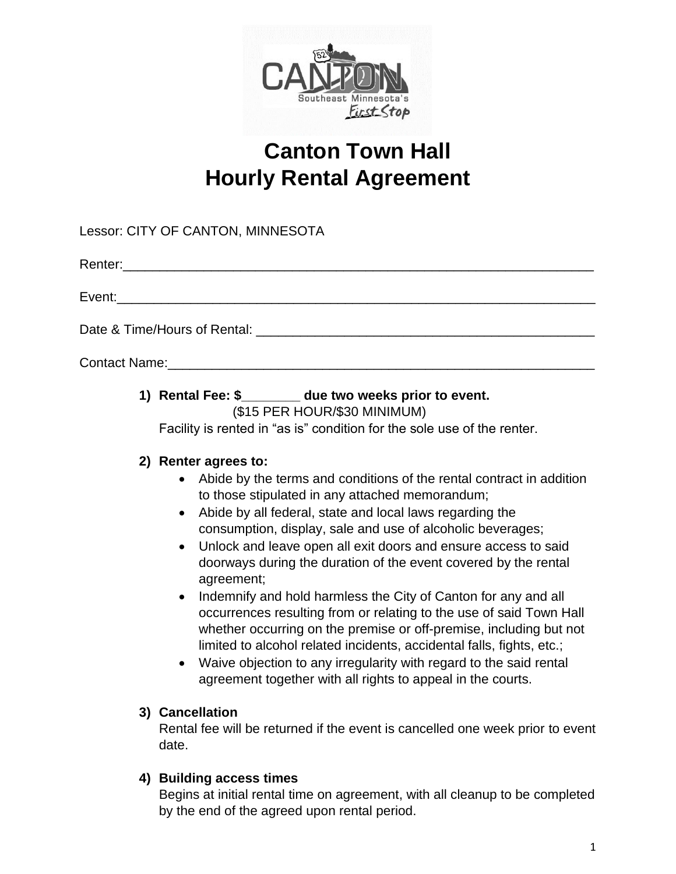

# **Canton Town Hall Hourly Rental Agreement**

Lessor: CITY OF CANTON, MINNESOTA

Renter:\_\_\_\_\_\_\_\_\_\_\_\_\_\_\_\_\_\_\_\_\_\_\_\_\_\_\_\_\_\_\_\_\_\_\_\_\_\_\_\_\_\_\_\_\_\_\_\_\_\_\_\_\_\_\_\_\_\_\_\_\_\_\_\_

Event:

Date & Time/Hours of Rental: \_\_\_\_\_\_\_\_\_\_\_\_\_\_\_\_\_\_\_\_\_\_\_\_\_\_\_\_\_\_\_\_\_\_\_\_\_\_\_\_\_\_\_\_\_\_

Contact Name:

#### **1) Rental Fee: \$\_\_\_\_\_\_\_\_ due two weeks prior to event.** (\$15 PER HOUR/\$30 MINIMUM)

Facility is rented in "as is" condition for the sole use of the renter.

## **2) Renter agrees to:**

- Abide by the terms and conditions of the rental contract in addition to those stipulated in any attached memorandum;
- Abide by all federal, state and local laws regarding the consumption, display, sale and use of alcoholic beverages;
- Unlock and leave open all exit doors and ensure access to said doorways during the duration of the event covered by the rental agreement;
- Indemnify and hold harmless the City of Canton for any and all occurrences resulting from or relating to the use of said Town Hall whether occurring on the premise or off-premise, including but not limited to alcohol related incidents, accidental falls, fights, etc.;
- Waive objection to any irregularity with regard to the said rental agreement together with all rights to appeal in the courts.

### **3) Cancellation**

Rental fee will be returned if the event is cancelled one week prior to event date.

## **4) Building access times**

Begins at initial rental time on agreement, with all cleanup to be completed by the end of the agreed upon rental period.